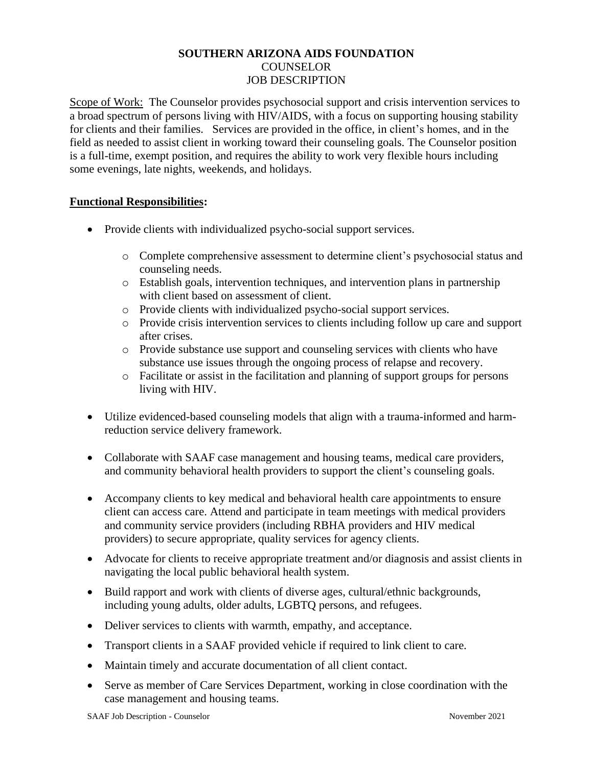## **SOUTHERN ARIZONA AIDS FOUNDATION** COUNSELOR JOB DESCRIPTION

Scope of Work: The Counselor provides psychosocial support and crisis intervention services to a broad spectrum of persons living with HIV/AIDS, with a focus on supporting housing stability for clients and their families. Services are provided in the office, in client's homes, and in the field as needed to assist client in working toward their counseling goals. The Counselor position is a full-time, exempt position, and requires the ability to work very flexible hours including some evenings, late nights, weekends, and holidays.

## **Functional Responsibilities:**

- Provide clients with individualized psycho-social support services.
	- o Complete comprehensive assessment to determine client's psychosocial status and counseling needs.
	- o Establish goals, intervention techniques, and intervention plans in partnership with client based on assessment of client.
	- o Provide clients with individualized psycho-social support services.
	- o Provide crisis intervention services to clients including follow up care and support after crises.
	- o Provide substance use support and counseling services with clients who have substance use issues through the ongoing process of relapse and recovery.
	- o Facilitate or assist in the facilitation and planning of support groups for persons living with HIV.
- Utilize evidenced-based counseling models that align with a trauma-informed and harmreduction service delivery framework.
- Collaborate with SAAF case management and housing teams, medical care providers, and community behavioral health providers to support the client's counseling goals.
- Accompany clients to key medical and behavioral health care appointments to ensure client can access care. Attend and participate in team meetings with medical providers and community service providers (including RBHA providers and HIV medical providers) to secure appropriate, quality services for agency clients.
- Advocate for clients to receive appropriate treatment and/or diagnosis and assist clients in navigating the local public behavioral health system.
- Build rapport and work with clients of diverse ages, cultural/ethnic backgrounds, including young adults, older adults, LGBTQ persons, and refugees.
- Deliver services to clients with warmth, empathy, and acceptance.
- Transport clients in a SAAF provided vehicle if required to link client to care.
- Maintain timely and accurate documentation of all client contact.
- Serve as member of Care Services Department, working in close coordination with the case management and housing teams.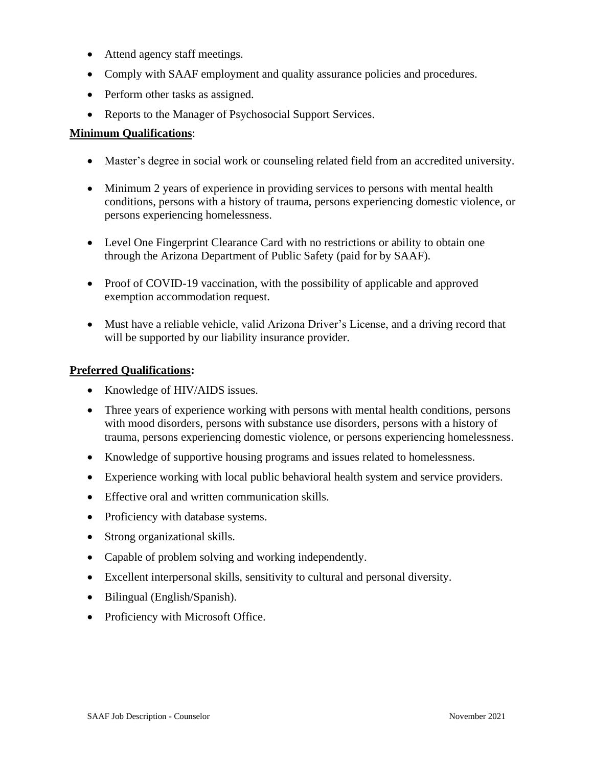- Attend agency staff meetings.
- Comply with SAAF employment and quality assurance policies and procedures.
- Perform other tasks as assigned.
- Reports to the Manager of Psychosocial Support Services.

## **Minimum Qualifications**:

- Master's degree in social work or counseling related field from an accredited university.
- Minimum 2 years of experience in providing services to persons with mental health conditions, persons with a history of trauma, persons experiencing domestic violence, or persons experiencing homelessness.
- Level One Fingerprint Clearance Card with no restrictions or ability to obtain one through the Arizona Department of Public Safety (paid for by SAAF).
- Proof of COVID-19 vaccination, with the possibility of applicable and approved exemption accommodation request.
- Must have a reliable vehicle, valid Arizona Driver's License, and a driving record that will be supported by our liability insurance provider.

## **Preferred Qualifications:**

- Knowledge of HIV/AIDS issues.
- Three years of experience working with persons with mental health conditions, persons with mood disorders, persons with substance use disorders, persons with a history of trauma, persons experiencing domestic violence, or persons experiencing homelessness.
- Knowledge of supportive housing programs and issues related to homelessness.
- Experience working with local public behavioral health system and service providers.
- Effective oral and written communication skills.
- Proficiency with database systems.
- Strong organizational skills.
- Capable of problem solving and working independently.
- Excellent interpersonal skills, sensitivity to cultural and personal diversity.
- Bilingual (English/Spanish).
- Proficiency with Microsoft Office.